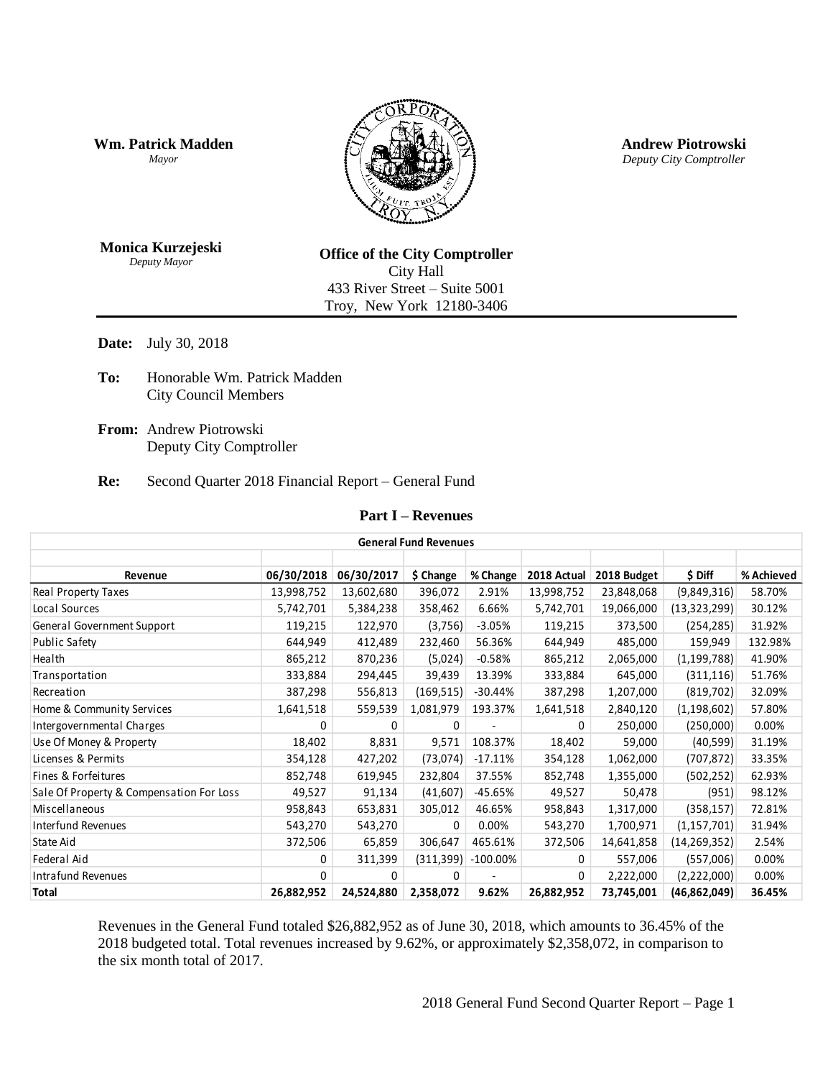**Wm. Patrick Madden** *Mayor*



**Andrew Piotrowski** *Deputy City Comptroller*

**Monica Kurzejeski** *Deputy Mayor*

**Office of the City Comptroller** City Hall 433 River Street – Suite 5001 Troy, New York 12180-3406

**Date:** July 30, 2018

- **To:** Honorable Wm. Patrick Madden City Council Members
- **From:** Andrew Piotrowski Deputy City Comptroller

#### **Re:** Second Quarter 2018 Financial Report – General Fund

#### **Part I – Revenues**

|                                          | <b>General Fund Revenues</b> |            |            |             |             |             |                |            |  |  |
|------------------------------------------|------------------------------|------------|------------|-------------|-------------|-------------|----------------|------------|--|--|
|                                          |                              |            |            |             |             |             |                |            |  |  |
| Revenue                                  | 06/30/2018                   | 06/30/2017 | \$ Change  | % Change    | 2018 Actual | 2018 Budget | \$ Diff        | % Achieved |  |  |
| Real Property Taxes                      | 13,998,752                   | 13,602,680 | 396,072    | 2.91%       | 13,998,752  | 23,848,068  | (9,849,316)    | 58.70%     |  |  |
| Local Sources                            | 5,742,701                    | 5,384,238  | 358,462    | 6.66%       | 5,742,701   | 19,066,000  | (13, 323, 299) | 30.12%     |  |  |
| General Government Support               | 119,215                      | 122,970    | (3,756)    | $-3.05%$    | 119,215     | 373,500     | (254, 285)     | 31.92%     |  |  |
| Public Safety                            | 644,949                      | 412,489    | 232,460    | 56.36%      | 644,949     | 485,000     | 159,949        | 132.98%    |  |  |
| Health                                   | 865,212                      | 870,236    | (5,024)    | $-0.58%$    | 865,212     | 2,065,000   | (1, 199, 788)  | 41.90%     |  |  |
| Transportation                           | 333,884                      | 294,445    | 39,439     | 13.39%      | 333,884     | 645,000     | (311, 116)     | 51.76%     |  |  |
| Recreation                               | 387,298                      | 556,813    | (169, 515) | $-30.44%$   | 387,298     | 1,207,000   | (819, 702)     | 32.09%     |  |  |
| Home & Community Services                | 1,641,518                    | 559,539    | 1,081,979  | 193.37%     | 1,641,518   | 2,840,120   | (1, 198, 602)  | 57.80%     |  |  |
| Intergovernmental Charges                | 0                            | 0          | 0          |             | 0           | 250,000     | (250,000)      | 0.00%      |  |  |
| Use Of Money & Property                  | 18,402                       | 8,831      | 9,571      | 108.37%     | 18,402      | 59,000      | (40, 599)      | 31.19%     |  |  |
| Licenses & Permits                       | 354,128                      | 427,202    | (73, 074)  | $-17.11%$   | 354,128     | 1,062,000   | (707, 872)     | 33.35%     |  |  |
| Fines & Forfeitures                      | 852,748                      | 619,945    | 232,804    | 37.55%      | 852,748     | 1,355,000   | (502, 252)     | 62.93%     |  |  |
| Sale Of Property & Compensation For Loss | 49,527                       | 91,134     | (41,607)   | -45.65%     | 49,527      | 50,478      | (951)          | 98.12%     |  |  |
| Miscellaneous                            | 958,843                      | 653,831    | 305,012    | 46.65%      | 958,843     | 1,317,000   | (358, 157)     | 72.81%     |  |  |
| <b>Interfund Revenues</b>                | 543,270                      | 543,270    | 0          | 0.00%       | 543,270     | 1,700,971   | (1, 157, 701)  | 31.94%     |  |  |
| State Aid                                | 372,506                      | 65,859     | 306,647    | 465.61%     | 372,506     | 14,641,858  | (14, 269, 352) | 2.54%      |  |  |
| Federal Aid                              | 0                            | 311,399    | (311, 399) | $-100.00\%$ | 0           | 557,006     | (557,006)      | 0.00%      |  |  |
| Intrafund Revenues                       | 0                            | $\Omega$   | $\Omega$   |             | $\Omega$    | 2,222,000   | (2,222,000)    | 0.00%      |  |  |
| Total                                    | 26,882,952                   | 24,524,880 | 2,358,072  | 9.62%       | 26,882,952  | 73,745,001  | (46,862,049)   | 36.45%     |  |  |

Revenues in the General Fund totaled \$26,882,952 as of June 30, 2018, which amounts to 36.45% of the 2018 budgeted total. Total revenues increased by 9.62%, or approximately \$2,358,072, in comparison to the six month total of 2017.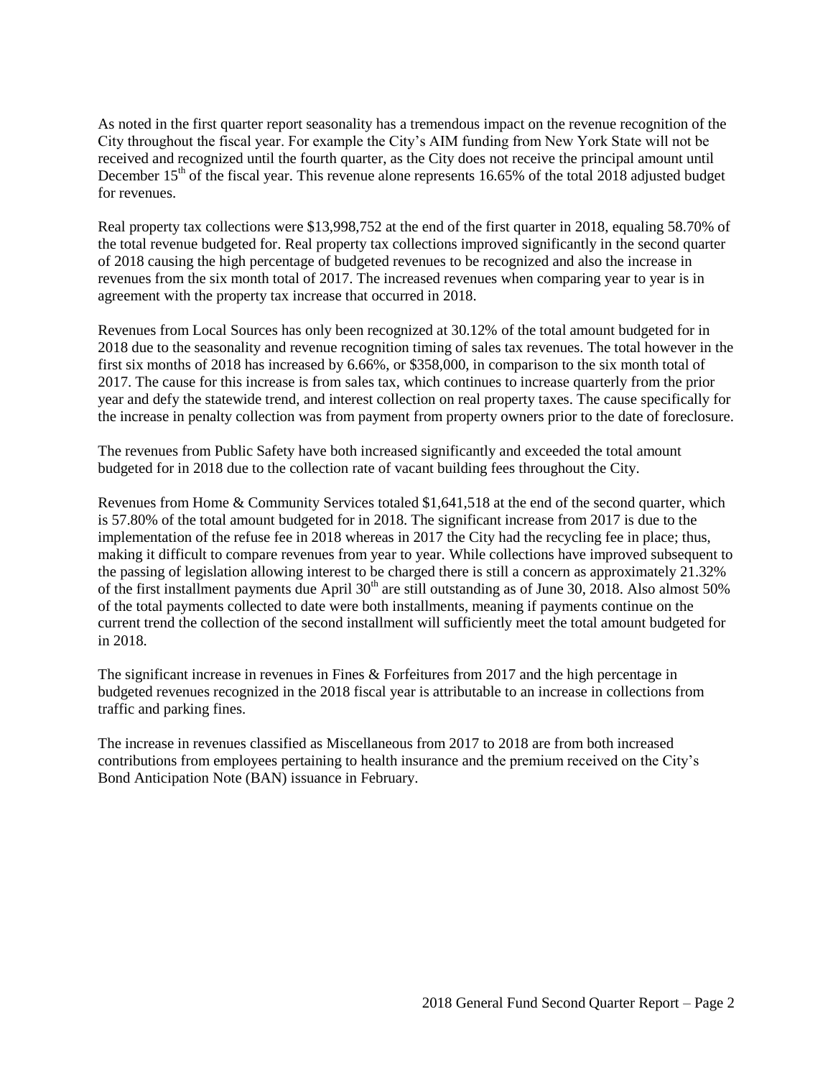As noted in the first quarter report seasonality has a tremendous impact on the revenue recognition of the City throughout the fiscal year. For example the City's AIM funding from New York State will not be received and recognized until the fourth quarter, as the City does not receive the principal amount until December  $15<sup>th</sup>$  of the fiscal year. This revenue alone represents 16.65% of the total 2018 adjusted budget for revenues.

Real property tax collections were \$13,998,752 at the end of the first quarter in 2018, equaling 58.70% of the total revenue budgeted for. Real property tax collections improved significantly in the second quarter of 2018 causing the high percentage of budgeted revenues to be recognized and also the increase in revenues from the six month total of 2017. The increased revenues when comparing year to year is in agreement with the property tax increase that occurred in 2018.

Revenues from Local Sources has only been recognized at 30.12% of the total amount budgeted for in 2018 due to the seasonality and revenue recognition timing of sales tax revenues. The total however in the first six months of 2018 has increased by 6.66%, or \$358,000, in comparison to the six month total of 2017. The cause for this increase is from sales tax, which continues to increase quarterly from the prior year and defy the statewide trend, and interest collection on real property taxes. The cause specifically for the increase in penalty collection was from payment from property owners prior to the date of foreclosure.

The revenues from Public Safety have both increased significantly and exceeded the total amount budgeted for in 2018 due to the collection rate of vacant building fees throughout the City.

Revenues from Home & Community Services totaled \$1,641,518 at the end of the second quarter, which is 57.80% of the total amount budgeted for in 2018. The significant increase from 2017 is due to the implementation of the refuse fee in 2018 whereas in 2017 the City had the recycling fee in place; thus, making it difficult to compare revenues from year to year. While collections have improved subsequent to the passing of legislation allowing interest to be charged there is still a concern as approximately 21.32% of the first installment payments due April  $30<sup>th</sup>$  are still outstanding as of June 30, 2018. Also almost 50% of the total payments collected to date were both installments, meaning if payments continue on the current trend the collection of the second installment will sufficiently meet the total amount budgeted for in 2018.

The significant increase in revenues in Fines & Forfeitures from 2017 and the high percentage in budgeted revenues recognized in the 2018 fiscal year is attributable to an increase in collections from traffic and parking fines.

The increase in revenues classified as Miscellaneous from 2017 to 2018 are from both increased contributions from employees pertaining to health insurance and the premium received on the City's Bond Anticipation Note (BAN) issuance in February.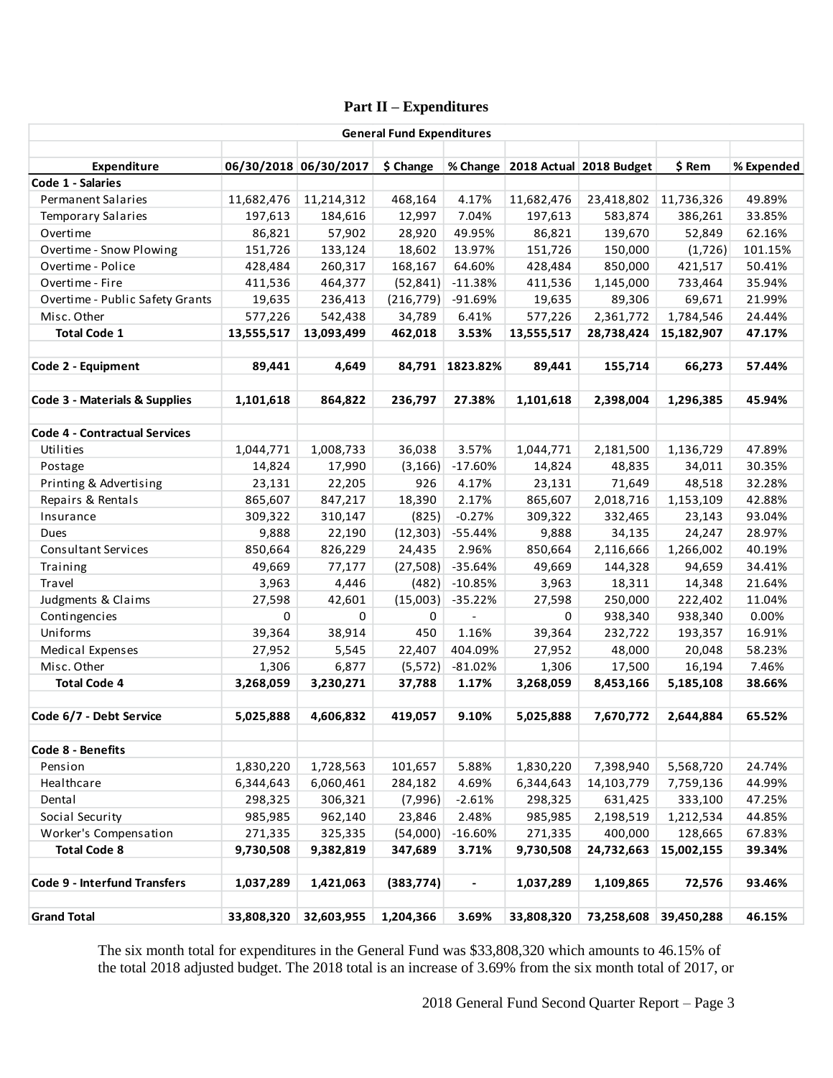# **Part II – Expenditures**

|                                              |            |                       | <b>General Fund Expenditures</b> |           |            |                                      |            |            |
|----------------------------------------------|------------|-----------------------|----------------------------------|-----------|------------|--------------------------------------|------------|------------|
|                                              |            |                       |                                  |           |            |                                      |            |            |
| Expenditure<br>Code 1 - Salaries             |            | 06/30/2018 06/30/2017 | \$ Change                        |           |            | % Change   2018 Actual   2018 Budget | \$ Rem     | % Expended |
| Permanent Salaries                           | 11,682,476 | 11,214,312            | 468,164                          | 4.17%     | 11,682,476 | 23,418,802                           | 11,736,326 | 49.89%     |
| <b>Temporary Salaries</b>                    | 197,613    | 184,616               | 12,997                           | 7.04%     | 197,613    | 583,874                              | 386,261    | 33.85%     |
| Overtime                                     |            |                       |                                  | 49.95%    |            |                                      |            |            |
|                                              | 86,821     | 57,902                | 28,920                           |           | 86,821     | 139,670                              | 52,849     | 62.16%     |
| Overtime - Snow Plowing<br>Overtime - Police | 151,726    | 133,124               | 18,602                           | 13.97%    | 151,726    | 150,000                              | (1,726)    | 101.15%    |
|                                              | 428,484    | 260,317               | 168,167                          | 64.60%    | 428,484    | 850,000                              | 421,517    | 50.41%     |
| Overtime - Fire                              | 411,536    | 464,377               | (52, 841)                        | $-11.38%$ | 411,536    | 1,145,000                            | 733,464    | 35.94%     |
| Overtime - Public Safety Grants              | 19,635     | 236,413               | (216, 779)                       | $-91.69%$ | 19,635     | 89,306                               | 69,671     | 21.99%     |
| Misc. Other                                  | 577,226    | 542,438               | 34,789                           | 6.41%     | 577,226    | 2,361,772                            | 1,784,546  | 24.44%     |
| <b>Total Code 1</b>                          | 13,555,517 | 13,093,499            | 462,018                          | 3.53%     | 13,555,517 | 28,738,424                           | 15,182,907 | 47.17%     |
| Code 2 - Equipment                           | 89,441     | 4,649                 | 84,791                           | 1823.82%  | 89,441     | 155,714                              | 66,273     | 57.44%     |
| Code 3 - Materials & Supplies                | 1,101,618  | 864,822               | 236,797                          | 27.38%    | 1,101,618  | 2,398,004                            | 1,296,385  | 45.94%     |
|                                              |            |                       |                                  |           |            |                                      |            |            |
| <b>Code 4 - Contractual Services</b>         |            |                       |                                  |           |            |                                      |            |            |
| Utilities                                    | 1,044,771  | 1,008,733             | 36,038                           | 3.57%     | 1,044,771  | 2,181,500                            | 1,136,729  | 47.89%     |
| Postage                                      | 14,824     | 17,990                | (3, 166)                         | $-17.60%$ | 14,824     | 48,835                               | 34,011     | 30.35%     |
| Printing & Advertising                       | 23,131     | 22,205                | 926                              | 4.17%     | 23,131     | 71,649                               | 48,518     | 32.28%     |
| Repairs & Rentals                            | 865,607    | 847,217               | 18,390                           | 2.17%     | 865,607    | 2,018,716                            | 1,153,109  | 42.88%     |
| Insurance                                    | 309,322    | 310,147               | (825)                            | $-0.27%$  | 309,322    | 332,465                              | 23,143     | 93.04%     |
| Dues                                         | 9,888      | 22,190                | (12, 303)                        | $-55.44%$ | 9,888      | 34,135                               | 24,247     | 28.97%     |
| <b>Consultant Services</b>                   | 850,664    | 826,229               | 24,435                           | 2.96%     | 850,664    | 2,116,666                            | 1,266,002  | 40.19%     |
| Training                                     | 49,669     | 77,177                | (27, 508)                        | $-35.64%$ | 49,669     | 144,328                              | 94,659     | 34.41%     |
| Travel                                       | 3,963      | 4,446                 | (482)                            | $-10.85%$ | 3,963      | 18,311                               | 14,348     | 21.64%     |
| Judgments & Claims                           | 27,598     | 42,601                | (15,003)                         | $-35.22%$ | 27,598     | 250,000                              | 222,402    | 11.04%     |
| Contingencies                                | 0          | 0                     | 0                                | $\Box$    | 0          | 938,340                              | 938,340    | 0.00%      |
| Uniforms                                     | 39,364     | 38,914                | 450                              | 1.16%     | 39,364     | 232,722                              | 193,357    | 16.91%     |
| Medical Expenses                             | 27,952     | 5,545                 | 22,407                           | 404.09%   | 27,952     | 48,000                               | 20,048     | 58.23%     |
| Misc. Other                                  | 1,306      | 6,877                 | (5, 572)                         | $-81.02%$ | 1,306      | 17,500                               | 16,194     | 7.46%      |
| <b>Total Code 4</b>                          | 3,268,059  | 3,230,271             | 37,788                           | 1.17%     | 3,268,059  | 8,453,166                            | 5,185,108  | 38.66%     |
|                                              |            |                       |                                  |           |            |                                      |            |            |
| Code 6/7 - Debt Service                      | 5,025,888  | 4,606,832             | 419,057                          | 9.10%     | 5,025,888  | 7,670,772                            | 2,644,884  | 65.52%     |
| Code 8 - Benefits                            |            |                       |                                  |           |            |                                      |            |            |
| Pension                                      | 1,830,220  | 1,728,563             | 101,657                          | 5.88%     | 1,830,220  | 7,398,940                            | 5,568,720  | 24.74%     |
| Healthcare                                   | 6,344,643  | 6,060,461             | 284,182                          | 4.69%     | 6,344,643  | 14,103,779                           | 7,759,136  | 44.99%     |
| Dental                                       | 298,325    | 306,321               | (7,996)                          | $-2.61%$  | 298,325    | 631,425                              | 333,100    | 47.25%     |
| Social Security                              | 985,985    | 962,140               | 23,846                           | 2.48%     | 985,985    | 2,198,519                            | 1,212,534  | 44.85%     |
| Worker's Compensation                        | 271,335    | 325,335               | (54,000)                         | $-16.60%$ | 271,335    | 400,000                              | 128,665    | 67.83%     |
| <b>Total Code 8</b>                          | 9,730,508  | 9,382,819             | 347,689                          | 3.71%     | 9,730,508  | 24,732,663                           | 15,002,155 | 39.34%     |
|                                              |            |                       |                                  |           |            |                                      |            |            |
| <b>Code 9 - Interfund Transfers</b>          | 1,037,289  | 1,421,063             | (383, 774)                       |           | 1,037,289  | 1,109,865                            | 72,576     | 93.46%     |
| <b>Grand Total</b>                           | 33,808,320 | 32,603,955            | 1,204,366                        | 3.69%     | 33,808,320 | 73,258,608                           | 39,450,288 | 46.15%     |
|                                              |            |                       |                                  |           |            |                                      |            |            |

The six month total for expenditures in the General Fund was \$33,808,320 which amounts to 46.15% of the total 2018 adjusted budget. The 2018 total is an increase of 3.69% from the six month total of 2017, or

2018 General Fund Second Quarter Report – Page 3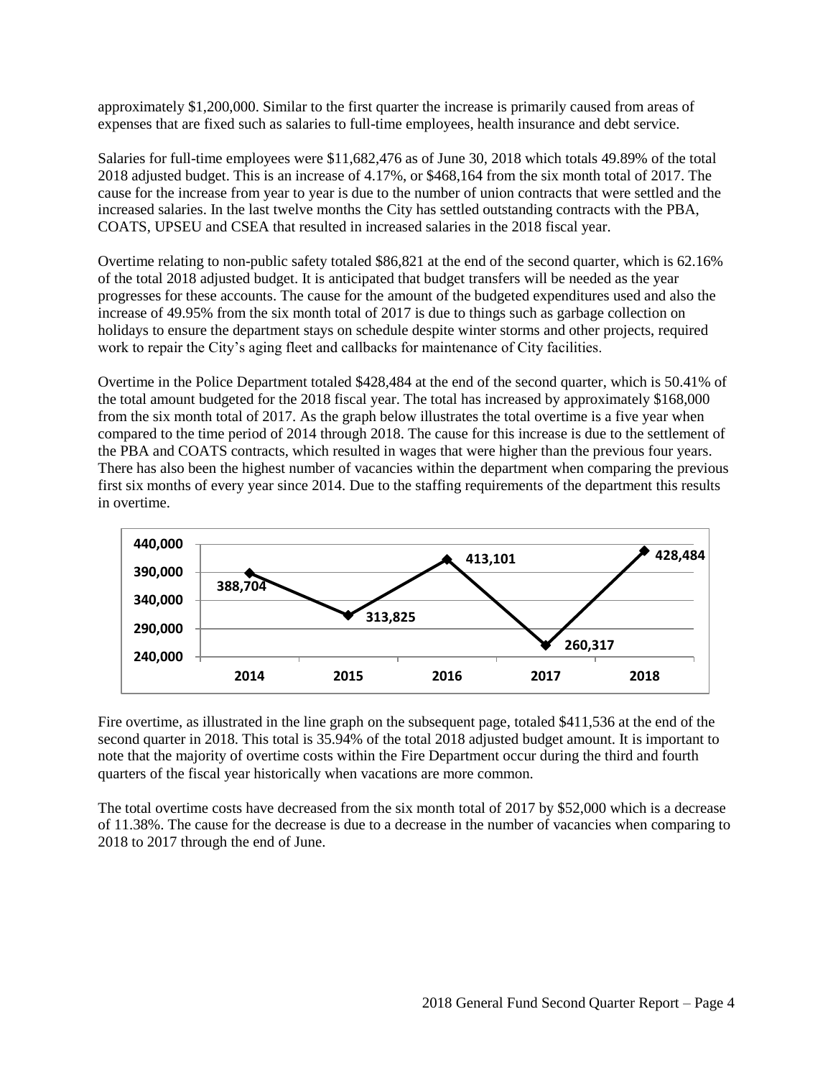approximately \$1,200,000. Similar to the first quarter the increase is primarily caused from areas of expenses that are fixed such as salaries to full-time employees, health insurance and debt service.

Salaries for full-time employees were \$11,682,476 as of June 30, 2018 which totals 49.89% of the total 2018 adjusted budget. This is an increase of 4.17%, or \$468,164 from the six month total of 2017. The cause for the increase from year to year is due to the number of union contracts that were settled and the increased salaries. In the last twelve months the City has settled outstanding contracts with the PBA, COATS, UPSEU and CSEA that resulted in increased salaries in the 2018 fiscal year.

Overtime relating to non-public safety totaled \$86,821 at the end of the second quarter, which is 62.16% of the total 2018 adjusted budget. It is anticipated that budget transfers will be needed as the year progresses for these accounts. The cause for the amount of the budgeted expenditures used and also the increase of 49.95% from the six month total of 2017 is due to things such as garbage collection on holidays to ensure the department stays on schedule despite winter storms and other projects, required work to repair the City's aging fleet and callbacks for maintenance of City facilities.

Overtime in the Police Department totaled \$428,484 at the end of the second quarter, which is 50.41% of the total amount budgeted for the 2018 fiscal year. The total has increased by approximately \$168,000 from the six month total of 2017. As the graph below illustrates the total overtime is a five year when compared to the time period of 2014 through 2018. The cause for this increase is due to the settlement of the PBA and COATS contracts, which resulted in wages that were higher than the previous four years. There has also been the highest number of vacancies within the department when comparing the previous first six months of every year since 2014. Due to the staffing requirements of the department this results in overtime.



Fire overtime, as illustrated in the line graph on the subsequent page, totaled \$411,536 at the end of the second quarter in 2018. This total is 35.94% of the total 2018 adjusted budget amount. It is important to note that the majority of overtime costs within the Fire Department occur during the third and fourth quarters of the fiscal year historically when vacations are more common.

The total overtime costs have decreased from the six month total of 2017 by \$52,000 which is a decrease of 11.38%. The cause for the decrease is due to a decrease in the number of vacancies when comparing to 2018 to 2017 through the end of June.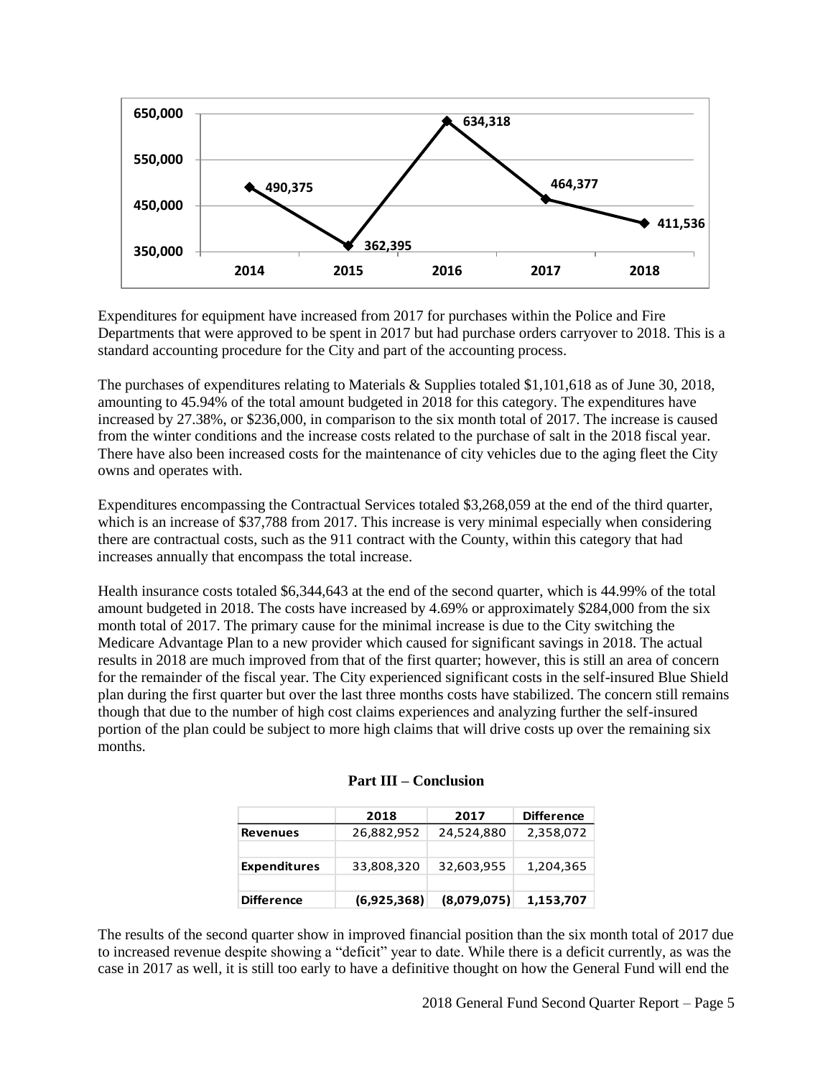

Expenditures for equipment have increased from 2017 for purchases within the Police and Fire Departments that were approved to be spent in 2017 but had purchase orders carryover to 2018. This is a standard accounting procedure for the City and part of the accounting process.

The purchases of expenditures relating to Materials & Supplies totaled \$1,101,618 as of June 30, 2018, amounting to 45.94% of the total amount budgeted in 2018 for this category. The expenditures have increased by 27.38%, or \$236,000, in comparison to the six month total of 2017. The increase is caused from the winter conditions and the increase costs related to the purchase of salt in the 2018 fiscal year. There have also been increased costs for the maintenance of city vehicles due to the aging fleet the City owns and operates with.

Expenditures encompassing the Contractual Services totaled \$3,268,059 at the end of the third quarter, which is an increase of \$37,788 from 2017. This increase is very minimal especially when considering there are contractual costs, such as the 911 contract with the County, within this category that had increases annually that encompass the total increase.

Health insurance costs totaled \$6,344,643 at the end of the second quarter, which is 44.99% of the total amount budgeted in 2018. The costs have increased by 4.69% or approximately \$284,000 from the six month total of 2017. The primary cause for the minimal increase is due to the City switching the Medicare Advantage Plan to a new provider which caused for significant savings in 2018. The actual results in 2018 are much improved from that of the first quarter; however, this is still an area of concern for the remainder of the fiscal year. The City experienced significant costs in the self-insured Blue Shield plan during the first quarter but over the last three months costs have stabilized. The concern still remains though that due to the number of high cost claims experiences and analyzing further the self-insured portion of the plan could be subject to more high claims that will drive costs up over the remaining six months.

|                     | 2018        | 2017        | <b>Difference</b> |
|---------------------|-------------|-------------|-------------------|
| <b>Revenues</b>     | 26,882,952  | 24,524,880  | 2,358,072         |
|                     |             |             |                   |
| <b>Expenditures</b> | 33,808,320  | 32,603,955  | 1,204,365         |
|                     |             |             |                   |
| <b>Difference</b>   | (6,925,368) | (8,079,075) | 1,153,707         |

|  |  | <b>Part III – Conclusion</b> |  |
|--|--|------------------------------|--|
|--|--|------------------------------|--|

The results of the second quarter show in improved financial position than the six month total of 2017 due to increased revenue despite showing a "deficit" year to date. While there is a deficit currently, as was the case in 2017 as well, it is still too early to have a definitive thought on how the General Fund will end the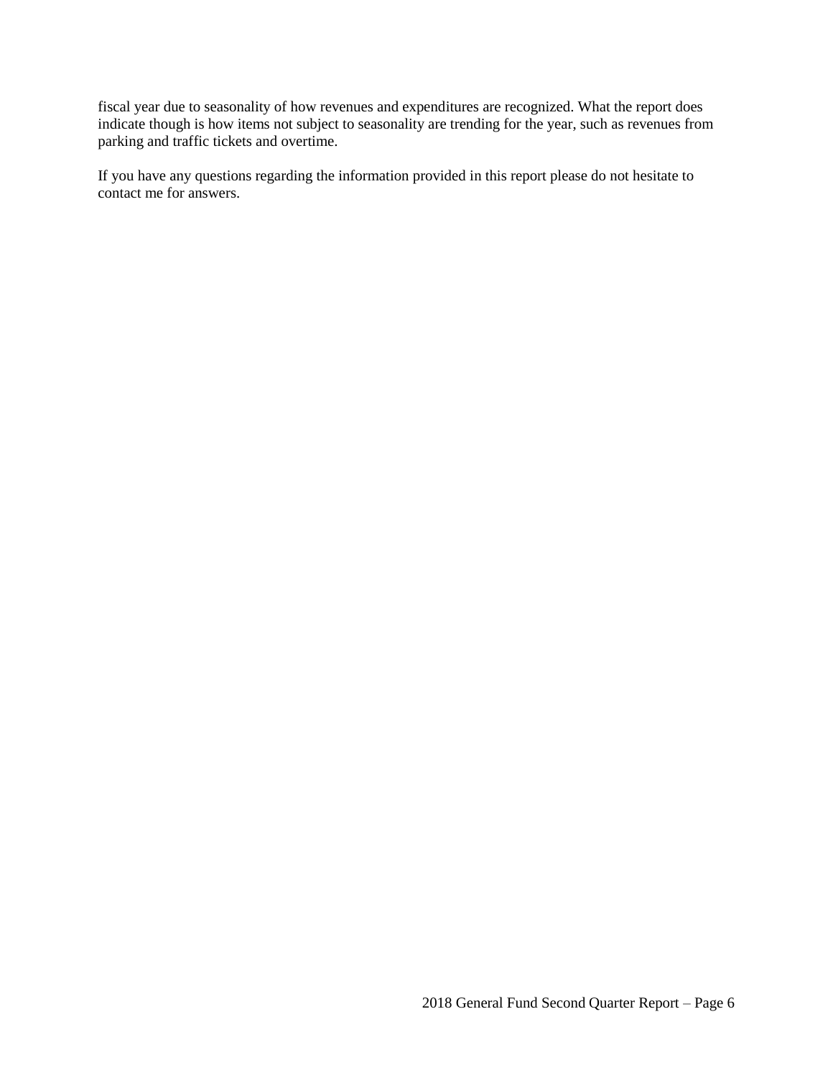fiscal year due to seasonality of how revenues and expenditures are recognized. What the report does indicate though is how items not subject to seasonality are trending for the year, such as revenues from parking and traffic tickets and overtime.

If you have any questions regarding the information provided in this report please do not hesitate to contact me for answers.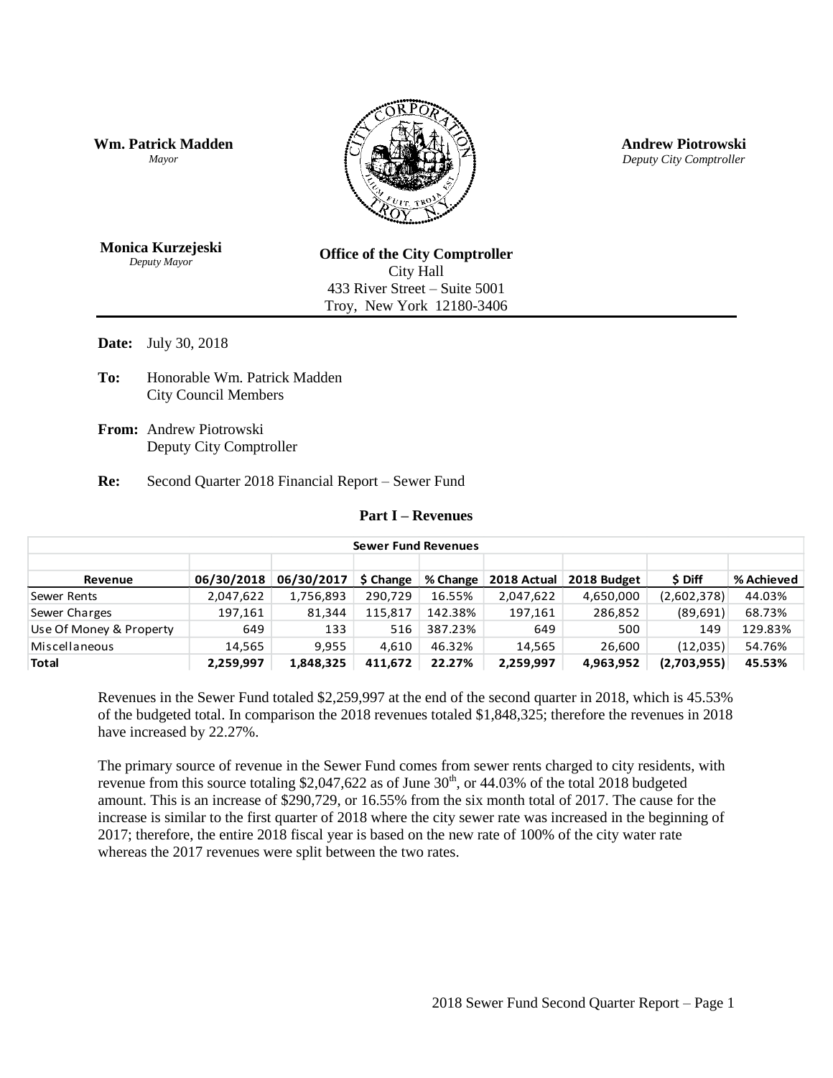**Wm. Patrick Madden** *Mayor*



**Andrew Piotrowski** *Deputy City Comptroller*

**Monica Kurzejeski** *Deputy Mayor*

**Office of the City Comptroller** City Hall 433 River Street – Suite 5001 Troy, New York 12180-3406

**Date:** July 30, 2018

**To:** Honorable Wm. Patrick Madden City Council Members

**From:** Andrew Piotrowski Deputy City Comptroller

**Re:** Second Quarter 2018 Financial Report – Sewer Fund

#### **Part I – Revenues**

| <b>Sewer Fund Revenues</b> |            |            |           |          |             |             |             |            |  |
|----------------------------|------------|------------|-----------|----------|-------------|-------------|-------------|------------|--|
|                            |            |            |           |          |             |             |             |            |  |
| Revenue                    | 06/30/2018 | 06/30/2017 | \$ Change | % Change | 2018 Actual | 2018 Budget | \$ Diff     | % Achieved |  |
| Sewer Rents                | 2,047,622  | 1,756,893  | 290.729   | 16.55%   | 2,047,622   | 4,650,000   | (2,602,378) | 44.03%     |  |
| Sewer Charges              | 197,161    | 81,344     | 115.817   | 142.38%  | 197,161     | 286,852     | (89, 691)   | 68.73%     |  |
| Use Of Money & Property    | 649        | 133        | 516       | 387.23%  | 649         | 500         | 149         | 129.83%    |  |
| Miscellaneous              | 14,565     | 9,955      | 4.610     | 46.32%   | 14,565      | 26.600      | (12,035)    | 54.76%     |  |
| <b>Total</b>               | 2.259.997  | 1,848,325  | 411.672   | 22.27%   | 2,259,997   | 4,963,952   | (2,703,955) | 45.53%     |  |

Revenues in the Sewer Fund totaled \$2,259,997 at the end of the second quarter in 2018, which is 45.53% of the budgeted total. In comparison the 2018 revenues totaled \$1,848,325; therefore the revenues in 2018 have increased by 22.27%.

The primary source of revenue in the Sewer Fund comes from sewer rents charged to city residents, with revenue from this source totaling \$2,047,622 as of June  $30<sup>th</sup>$ , or 44.03% of the total 2018 budgeted amount. This is an increase of \$290,729, or 16.55% from the six month total of 2017. The cause for the increase is similar to the first quarter of 2018 where the city sewer rate was increased in the beginning of 2017; therefore, the entire 2018 fiscal year is based on the new rate of 100% of the city water rate whereas the 2017 revenues were split between the two rates.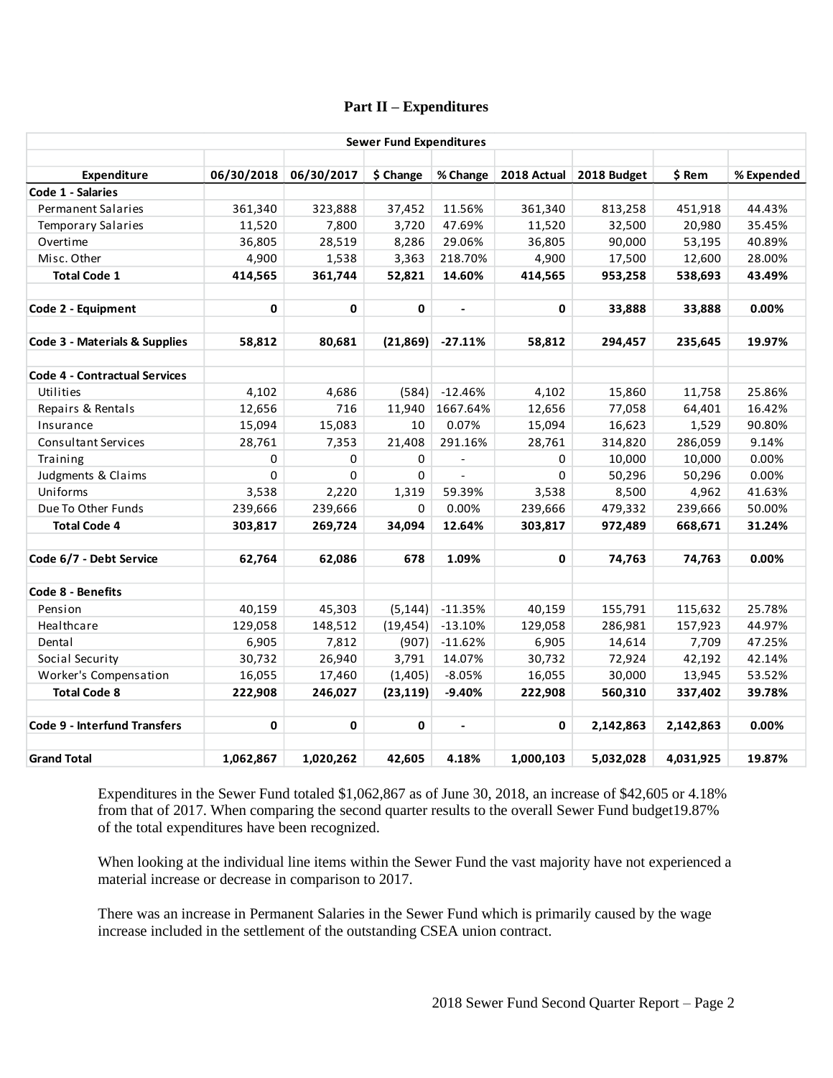## **Part II – Expenditures**

|                                      |           |                       | <b>Sewer Fund Expenditures</b> |                |             |             |           |            |
|--------------------------------------|-----------|-----------------------|--------------------------------|----------------|-------------|-------------|-----------|------------|
| Expenditure                          |           | 06/30/2018 06/30/2017 | \$ Change                      | % Change       | 2018 Actual | 2018 Budget | \$ Rem    | % Expended |
| Code 1 - Salaries                    |           |                       |                                |                |             |             |           |            |
| <b>Permanent Salaries</b>            | 361,340   | 323,888               | 37,452                         | 11.56%         | 361,340     | 813,258     | 451,918   | 44.43%     |
| <b>Temporary Salaries</b>            | 11,520    | 7,800                 | 3,720                          | 47.69%         | 11,520      | 32,500      | 20,980    | 35.45%     |
| Overtime                             | 36,805    | 28,519                | 8,286                          | 29.06%         | 36,805      | 90,000      | 53,195    | 40.89%     |
| Misc. Other                          | 4,900     | 1,538                 | 3,363                          | 218.70%        | 4,900       | 17,500      | 12,600    | 28.00%     |
| <b>Total Code 1</b>                  | 414,565   | 361,744               | 52,821                         | 14.60%         | 414,565     | 953,258     | 538,693   | 43.49%     |
| Code 2 - Equipment                   | 0         | 0                     | 0                              | $\blacksquare$ | 0           | 33,888      | 33,888    | 0.00%      |
| Code 3 - Materials & Supplies        | 58,812    | 80,681                | (21, 869)                      | $-27.11%$      | 58,812      | 294,457     | 235,645   | 19.97%     |
| <b>Code 4 - Contractual Services</b> |           |                       |                                |                |             |             |           |            |
| Utilities                            | 4,102     | 4,686                 | (584)                          | $-12.46%$      | 4,102       | 15,860      | 11,758    | 25.86%     |
| Repairs & Rentals                    | 12,656    | 716                   | 11,940                         | 1667.64%       | 12,656      | 77,058      | 64,401    | 16.42%     |
| Insurance                            | 15,094    | 15,083                | 10                             | 0.07%          | 15,094      | 16,623      | 1,529     | 90.80%     |
| <b>Consultant Services</b>           | 28,761    | 7,353                 | 21,408                         | 291.16%        | 28,761      | 314,820     | 286,059   | 9.14%      |
| Training                             | 0         | $\Omega$              | $\Omega$                       | $\sim$         | $\mathbf 0$ | 10,000      | 10,000    | 0.00%      |
| Judgments & Claims                   | $\Omega$  | $\Omega$              | 0                              | $\blacksquare$ | $\Omega$    | 50,296      | 50,296    | 0.00%      |
| Uniforms                             | 3,538     | 2,220                 | 1,319                          | 59.39%         | 3,538       | 8,500       | 4,962     | 41.63%     |
| Due To Other Funds                   | 239,666   | 239,666               | 0                              | 0.00%          | 239,666     | 479,332     | 239,666   | 50.00%     |
| <b>Total Code 4</b>                  | 303,817   | 269,724               | 34,094                         | 12.64%         | 303,817     | 972,489     | 668,671   | 31.24%     |
| Code 6/7 - Debt Service              | 62,764    | 62,086                | 678                            | 1.09%          | 0           | 74,763      | 74,763    | 0.00%      |
| Code 8 - Benefits                    |           |                       |                                |                |             |             |           |            |
| Pension                              | 40,159    | 45,303                | (5, 144)                       | $-11.35%$      | 40,159      | 155,791     | 115,632   | 25.78%     |
| Healthcare                           | 129,058   | 148,512               | (19, 454)                      | $-13.10%$      | 129,058     | 286,981     | 157,923   | 44.97%     |
| Dental                               | 6,905     | 7,812                 | (907)                          | $-11.62%$      | 6,905       | 14,614      | 7,709     | 47.25%     |
| Social Security                      | 30,732    | 26,940                | 3,791                          | 14.07%         | 30,732      | 72,924      | 42,192    | 42.14%     |
| Worker's Compensation                | 16,055    | 17,460                | (1,405)                        | $-8.05%$       | 16,055      | 30,000      | 13,945    | 53.52%     |
| <b>Total Code 8</b>                  | 222,908   | 246,027               | (23, 119)                      | $-9.40%$       | 222,908     | 560,310     | 337,402   | 39.78%     |
| <b>Code 9 - Interfund Transfers</b>  | 0         | 0                     | 0                              |                | 0           | 2,142,863   | 2,142,863 | 0.00%      |
| <b>Grand Total</b>                   | 1,062,867 | 1,020,262             | 42,605                         | 4.18%          | 1,000,103   | 5,032,028   | 4,031,925 | 19.87%     |

Expenditures in the Sewer Fund totaled \$1,062,867 as of June 30, 2018, an increase of \$42,605 or 4.18% from that of 2017. When comparing the second quarter results to the overall Sewer Fund budget19.87% of the total expenditures have been recognized.

When looking at the individual line items within the Sewer Fund the vast majority have not experienced a material increase or decrease in comparison to 2017.

There was an increase in Permanent Salaries in the Sewer Fund which is primarily caused by the wage increase included in the settlement of the outstanding CSEA union contract.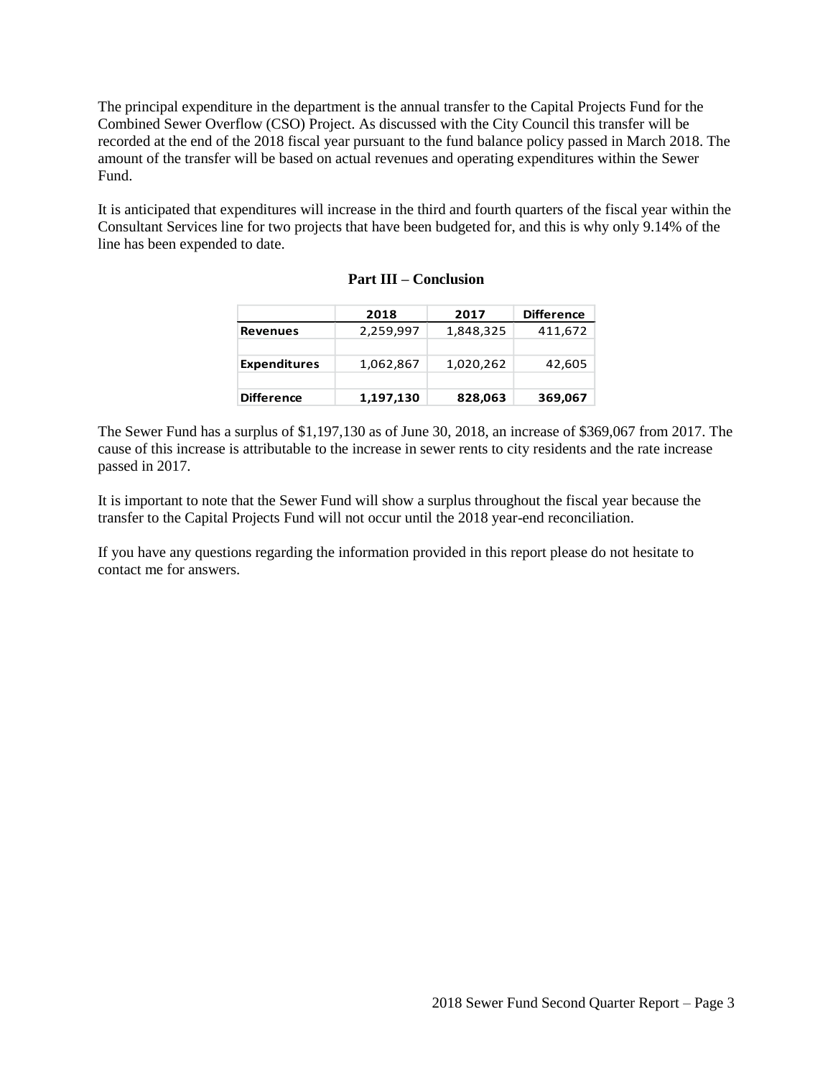The principal expenditure in the department is the annual transfer to the Capital Projects Fund for the Combined Sewer Overflow (CSO) Project. As discussed with the City Council this transfer will be recorded at the end of the 2018 fiscal year pursuant to the fund balance policy passed in March 2018. The amount of the transfer will be based on actual revenues and operating expenditures within the Sewer Fund.

It is anticipated that expenditures will increase in the third and fourth quarters of the fiscal year within the Consultant Services line for two projects that have been budgeted for, and this is why only 9.14% of the line has been expended to date.

|                     | 2018      | 2017      | <b>Difference</b> |
|---------------------|-----------|-----------|-------------------|
| <b>Revenues</b>     | 2,259,997 | 1,848,325 | 411,672           |
|                     |           |           |                   |
| <b>Expenditures</b> | 1,062,867 | 1,020,262 | 42,605            |
|                     |           |           |                   |
| <b>Difference</b>   | 1,197,130 | 828,063   | 369,067           |

The Sewer Fund has a surplus of \$1,197,130 as of June 30, 2018, an increase of \$369,067 from 2017. The cause of this increase is attributable to the increase in sewer rents to city residents and the rate increase passed in 2017.

It is important to note that the Sewer Fund will show a surplus throughout the fiscal year because the transfer to the Capital Projects Fund will not occur until the 2018 year-end reconciliation.

If you have any questions regarding the information provided in this report please do not hesitate to contact me for answers.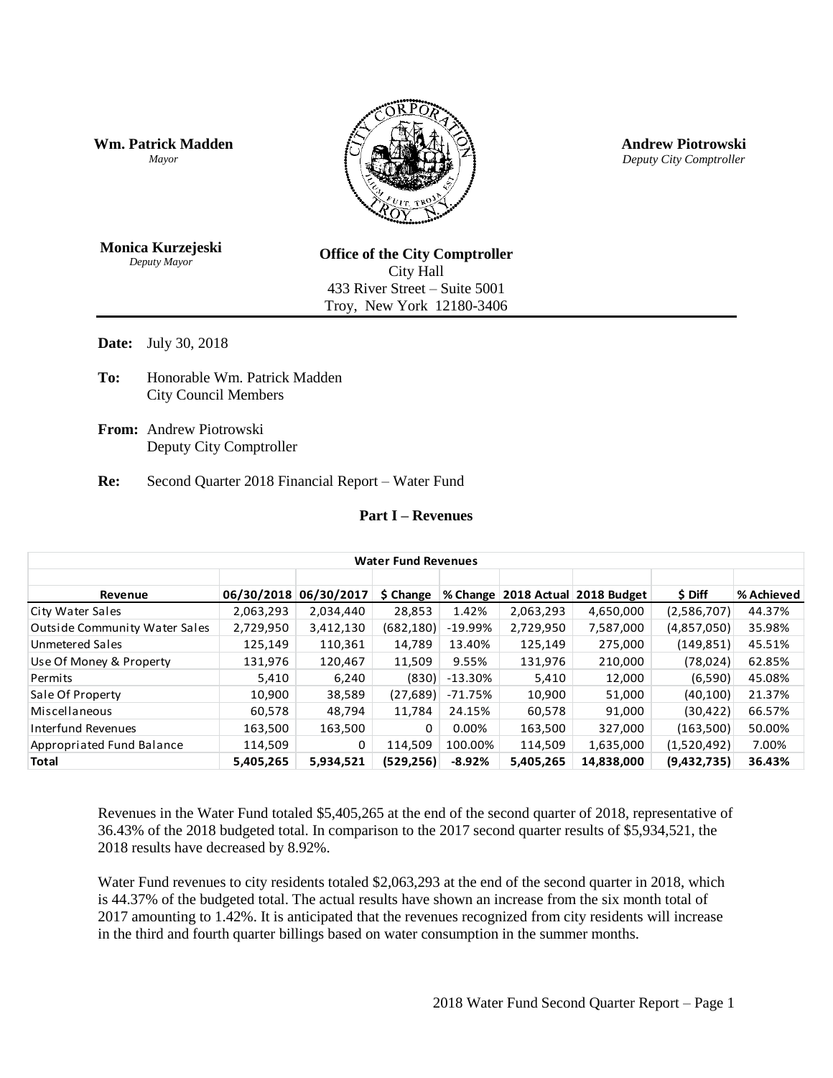**Wm. Patrick Madden** *Mayor*



**Andrew Piotrowski** *Deputy City Comptroller*

**Monica Kurzejeski** *Deputy Mayor*

**Office of the City Comptroller** City Hall 433 River Street – Suite 5001 Troy, New York 12180-3406

**Date:** July 30, 2018

- **To:** Honorable Wm. Patrick Madden City Council Members
- **From:** Andrew Piotrowski Deputy City Comptroller

**Re:** Second Quarter 2018 Financial Report – Water Fund

## **Part I – Revenues**

|                                      | <b>Water Fund Revenues</b> |            |            |            |             |             |             |            |  |  |
|--------------------------------------|----------------------------|------------|------------|------------|-------------|-------------|-------------|------------|--|--|
| Revenue                              | 06/30/2018                 | 06/30/2017 | \$ Change  | % Change   | 2018 Actual | 2018 Budget | \$ Diff     | % Achieved |  |  |
| City Water Sales                     | 2,063,293                  | 2,034,440  | 28,853     | 1.42%      | 2,063,293   | 4,650,000   | (2,586,707) | 44.37%     |  |  |
| <b>Outside Community Water Sales</b> | 2,729,950                  | 3,412,130  | (682,180)  | $-19.99%$  | 2,729,950   | 7,587,000   | (4,857,050) | 35.98%     |  |  |
| Unmetered Sales                      | 125,149                    | 110,361    | 14,789     | 13.40%     | 125,149     | 275,000     | (149, 851)  | 45.51%     |  |  |
| Use Of Money & Property              | 131,976                    | 120,467    | 11,509     | 9.55%      | 131,976     | 210,000     | (78, 024)   | 62.85%     |  |  |
| Permits                              | 5,410                      | 6,240      | (830)      | $-13.30\%$ | 5,410       | 12,000      | (6,590)     | 45.08%     |  |  |
| Sale Of Property                     | 10,900                     | 38,589     | (27, 689)  | -71.75%    | 10,900      | 51,000      | (40, 100)   | 21.37%     |  |  |
| Miscellaneous                        | 60,578                     | 48,794     | 11,784     | 24.15%     | 60,578      | 91,000      | (30, 422)   | 66.57%     |  |  |
| Interfund Revenues                   | 163,500                    | 163,500    | 0          | $0.00\%$   | 163,500     | 327,000     | (163,500)   | 50.00%     |  |  |
| Appropriated Fund Balance            | 114,509                    | 0          | 114,509    | 100.00%    | 114,509     | 1,635,000   | (1,520,492) | 7.00%      |  |  |
| <b>Total</b>                         | 5,405,265                  | 5,934,521  | (529, 256) | $-8.92%$   | 5,405,265   | 14,838,000  | (9,432,735) | 36.43%     |  |  |

Revenues in the Water Fund totaled \$5,405,265 at the end of the second quarter of 2018, representative of 36.43% of the 2018 budgeted total. In comparison to the 2017 second quarter results of \$5,934,521, the 2018 results have decreased by 8.92%.

Water Fund revenues to city residents totaled \$2,063,293 at the end of the second quarter in 2018, which is 44.37% of the budgeted total. The actual results have shown an increase from the six month total of 2017 amounting to 1.42%. It is anticipated that the revenues recognized from city residents will increase in the third and fourth quarter billings based on water consumption in the summer months.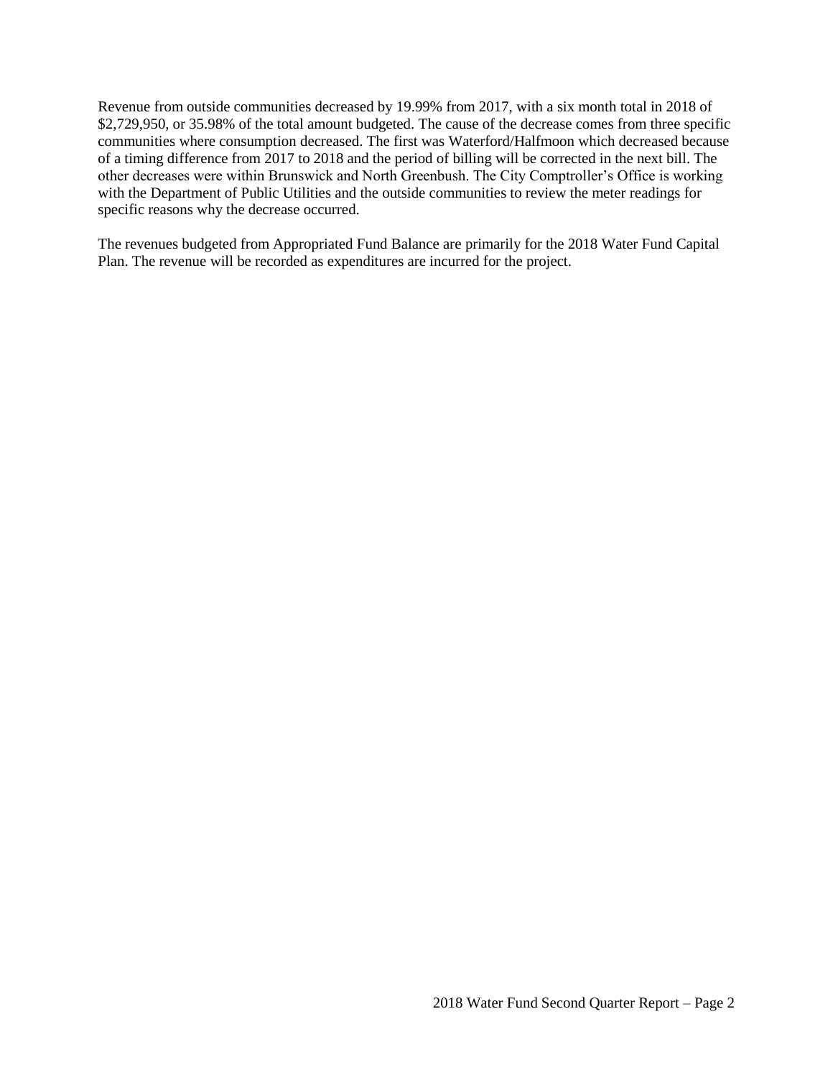Revenue from outside communities decreased by 19.99% from 2017, with a six month total in 2018 of \$2,729,950, or 35.98% of the total amount budgeted. The cause of the decrease comes from three specific communities where consumption decreased. The first was Waterford/Halfmoon which decreased because of a timing difference from 2017 to 2018 and the period of billing will be corrected in the next bill. The other decreases were within Brunswick and North Greenbush. The City Comptroller's Office is working with the Department of Public Utilities and the outside communities to review the meter readings for specific reasons why the decrease occurred.

The revenues budgeted from Appropriated Fund Balance are primarily for the 2018 Water Fund Capital Plan. The revenue will be recorded as expenditures are incurred for the project.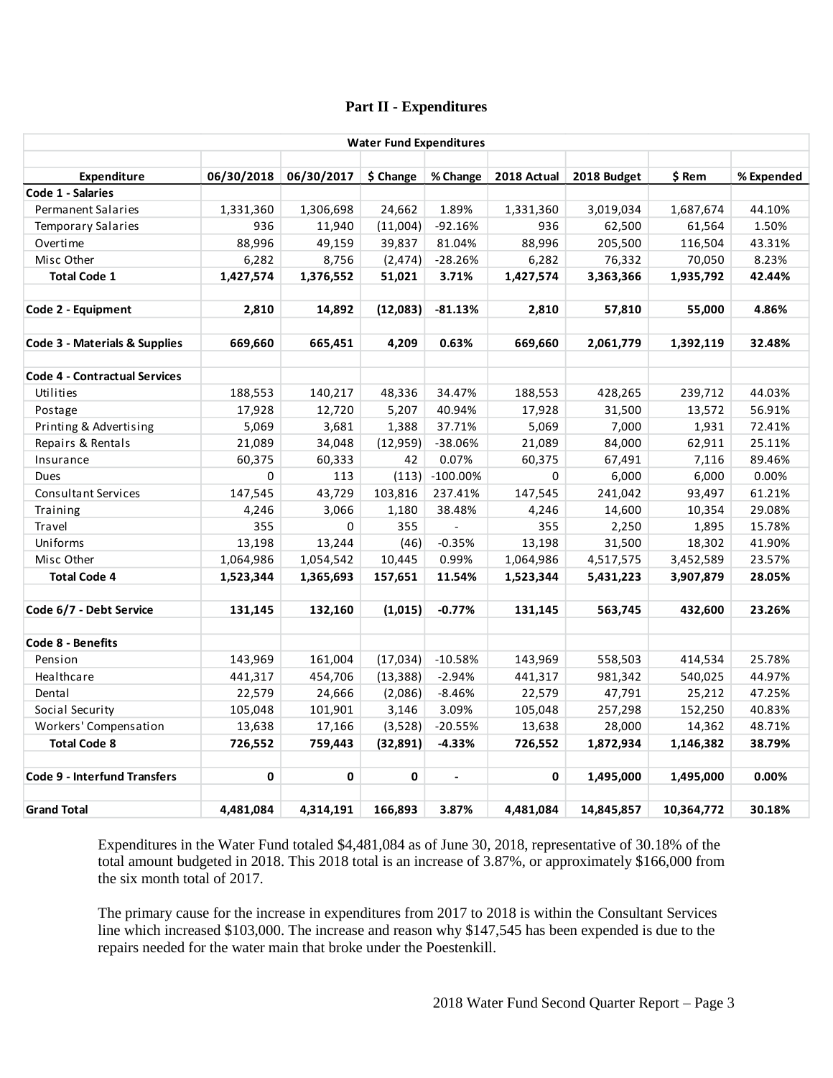## **Part II - Expenditures**

|                                          |            |             | <b>Water Fund Expenditures</b> |                |             |             |            |            |
|------------------------------------------|------------|-------------|--------------------------------|----------------|-------------|-------------|------------|------------|
|                                          |            |             |                                |                |             |             |            |            |
| Expenditure<br>Code 1 - Salaries         | 06/30/2018 | 06/30/2017  | \$ Change                      | % Change       | 2018 Actual | 2018 Budget | \$ Rem     | % Expended |
| Permanent Salaries                       | 1,331,360  | 1,306,698   | 24,662                         | 1.89%          | 1,331,360   | 3,019,034   | 1,687,674  | 44.10%     |
| <b>Temporary Salaries</b>                | 936        | 11,940      | (11,004)                       | $-92.16%$      | 936         | 62,500      | 61,564     | 1.50%      |
| Overtime                                 | 88,996     | 49,159      | 39,837                         | 81.04%         | 88,996      | 205,500     | 116,504    | 43.31%     |
| Misc Other                               | 6,282      | 8,756       | (2, 474)                       | $-28.26%$      | 6,282       | 76,332      | 70,050     | 8.23%      |
| <b>Total Code 1</b>                      | 1,427,574  | 1,376,552   | 51,021                         | 3.71%          | 1,427,574   | 3,363,366   | 1,935,792  | 42.44%     |
|                                          |            |             |                                |                |             |             |            |            |
| Code 2 - Equipment                       | 2,810      | 14,892      | (12,083)                       | $-81.13%$      | 2,810       | 57,810      | 55,000     | 4.86%      |
| <b>Code 3 - Materials &amp; Supplies</b> | 669,660    | 665,451     | 4,209                          | 0.63%          | 669,660     | 2,061,779   | 1,392,119  | 32.48%     |
|                                          |            |             |                                |                |             |             |            |            |
| <b>Code 4 - Contractual Services</b>     |            |             |                                |                |             |             |            |            |
| Utilities                                | 188,553    | 140,217     | 48,336                         | 34.47%         | 188,553     | 428,265     | 239,712    | 44.03%     |
| Postage                                  | 17,928     | 12,720      | 5,207                          | 40.94%         | 17,928      | 31,500      | 13,572     | 56.91%     |
| Printing & Advertising                   | 5,069      | 3,681       | 1,388                          | 37.71%         | 5,069       | 7,000       | 1,931      | 72.41%     |
| Repairs & Rentals                        | 21,089     | 34,048      | (12, 959)                      | $-38.06%$      | 21,089      | 84,000      | 62,911     | 25.11%     |
| Insurance                                | 60,375     | 60,333      | 42                             | 0.07%          | 60,375      | 67,491      | 7,116      | 89.46%     |
| <b>Dues</b>                              | 0          | 113         | (113)                          | $-100.00\%$    | $\mathbf 0$ | 6,000       | 6,000      | 0.00%      |
| Consultant Services                      | 147,545    | 43,729      | 103,816                        | 237.41%        | 147,545     | 241,042     | 93,497     | 61.21%     |
| Training                                 | 4,246      | 3,066       | 1,180                          | 38.48%         | 4,246       | 14,600      | 10,354     | 29.08%     |
| Travel                                   | 355        | $\mathbf 0$ | 355                            | $\omega$       | 355         | 2,250       | 1,895      | 15.78%     |
| Uniforms                                 | 13,198     | 13,244      | (46)                           | $-0.35%$       | 13,198      | 31,500      | 18,302     | 41.90%     |
| Misc Other                               | 1,064,986  | 1,054,542   | 10,445                         | 0.99%          | 1,064,986   | 4,517,575   | 3,452,589  | 23.57%     |
| <b>Total Code 4</b>                      | 1,523,344  | 1,365,693   | 157,651                        | 11.54%         | 1,523,344   | 5,431,223   | 3,907,879  | 28.05%     |
| Code 6/7 - Debt Service                  | 131,145    | 132,160     | (1,015)                        | $-0.77%$       | 131,145     | 563,745     | 432,600    | 23.26%     |
| Code 8 - Benefits                        |            |             |                                |                |             |             |            |            |
| Pension                                  | 143,969    | 161,004     | (17,034)                       | $-10.58%$      | 143,969     | 558,503     | 414,534    | 25.78%     |
| Healthcare                               | 441,317    | 454,706     | (13, 388)                      | $-2.94%$       | 441,317     | 981,342     | 540,025    | 44.97%     |
| Dental                                   | 22,579     | 24,666      | (2,086)                        | $-8.46%$       | 22,579      | 47,791      | 25,212     | 47.25%     |
| Social Security                          | 105,048    | 101,901     | 3,146                          | 3.09%          | 105,048     | 257,298     | 152,250    | 40.83%     |
| Workers' Compensation                    | 13,638     | 17,166      | (3,528)                        | $-20.55%$      | 13,638      | 28,000      | 14,362     | 48.71%     |
| <b>Total Code 8</b>                      | 726,552    | 759,443     | (32, 891)                      | $-4.33%$       | 726,552     | 1,872,934   | 1,146,382  | 38.79%     |
|                                          |            |             |                                |                |             |             |            |            |
| <b>Code 9 - Interfund Transfers</b>      | 0          | 0           | 0                              | $\blacksquare$ | 0           | 1,495,000   | 1,495,000  | 0.00%      |
| <b>Grand Total</b>                       | 4,481,084  | 4,314,191   | 166,893                        | 3.87%          | 4,481,084   | 14,845,857  | 10,364,772 | 30.18%     |

Expenditures in the Water Fund totaled \$4,481,084 as of June 30, 2018, representative of 30.18% of the total amount budgeted in 2018. This 2018 total is an increase of 3.87%, or approximately \$166,000 from the six month total of 2017.

The primary cause for the increase in expenditures from 2017 to 2018 is within the Consultant Services line which increased \$103,000. The increase and reason why \$147,545 has been expended is due to the repairs needed for the water main that broke under the Poestenkill.